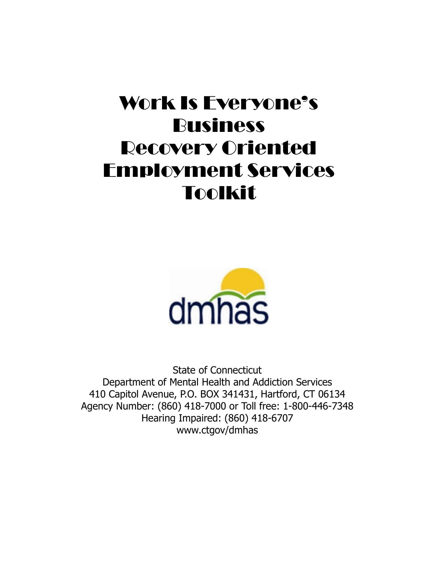# Work Is Everyone's Business Recovery Oriented Employment Services Toolkit



State of Connecticut Department of Mental Health and Addiction Services 410 Capitol Avenue, P.O. BOX 341431, Hartford, CT 06134 Agency Number: (860) 418-7000 or Toll free: 1-800-446-7348 Hearing Impaired: (860) 418-6707 www.ctgov/dmhas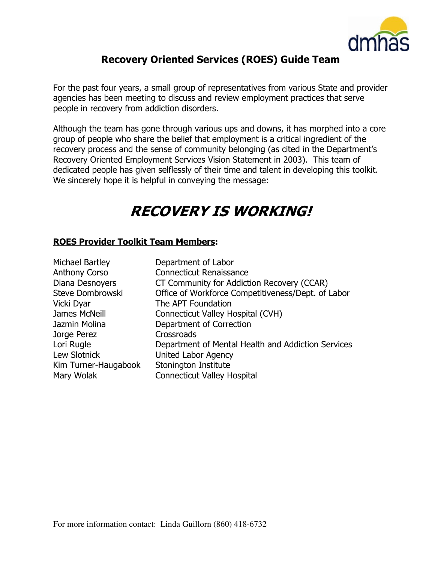

## Recovery Oriented Services (ROES) Guide Team

For the past four years, a small group of representatives from various State and provider agencies has been meeting to discuss and review employment practices that serve people in recovery from addiction disorders.

Although the team has gone through various ups and downs, it has morphed into a core group of people who share the belief that employment is a critical ingredient of the recovery process and the sense of community belonging (as cited in the Department's Recovery Oriented Employment Services Vision Statement in 2003). This team of dedicated people has given selflessly of their time and talent in developing this toolkit. We sincerely hope it is helpful in conveying the message:

## RECOVERY IS WORKING!

#### ROES Provider Toolkit Team Members:

| Michael Bartley      | Department of Labor                                |
|----------------------|----------------------------------------------------|
| <b>Anthony Corso</b> | <b>Connecticut Renaissance</b>                     |
| Diana Desnoyers      | CT Community for Addiction Recovery (CCAR)         |
| Steve Dombrowski     | Office of Workforce Competitiveness/Dept. of Labor |
| Vicki Dyar           | The APT Foundation                                 |
| James McNeill        | Connecticut Valley Hospital (CVH)                  |
| Jazmin Molina        | Department of Correction                           |
| Jorge Perez          | Crossroads                                         |
| Lori Rugle           | Department of Mental Health and Addiction Services |
| Lew Slotnick         | <b>United Labor Agency</b>                         |
| Kim Turner-Haugabook | Stonington Institute                               |
| Mary Wolak           | <b>Connecticut Valley Hospital</b>                 |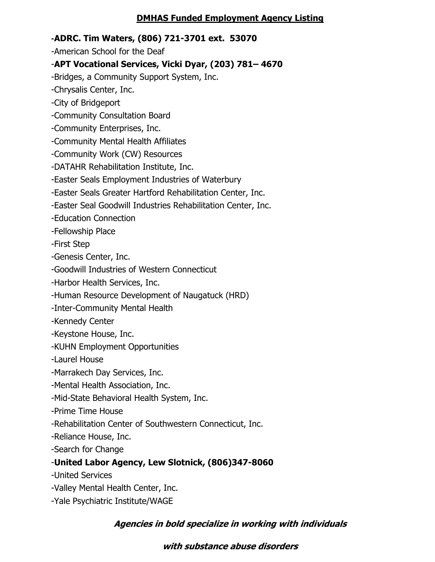## DMHAS Funded Employment Agency Listing

## -ADRC. Tim Waters, (806) 721-3701 ext. 53070

-American School for the Deaf

## -APT Vocational Services, Vicki Dyar, (203) 781– 4670

-Bridges, a Community Support System, Inc.

-Chrysalis Center, Inc.

-City of Bridgeport

- -Community Consultation Board
- -Community Enterprises, Inc.
- -Community Mental Health Affiliates
- -Community Work (CW) Resources
- -DATAHR Rehabilitation Institute, Inc.
- -Easter Seals Employment Industries of Waterbury
- -Easter Seals Greater Hartford Rehabilitation Center, Inc.
- -Easter Seal Goodwill Industries Rehabilitation Center, Inc.

-Education Connection

-Fellowship Place

-First Step

-Genesis Center, Inc.

-Goodwill Industries of Western Connecticut

-Harbor Health Services, Inc.

-Human Resource Development of Naugatuck (HRD)

- -Inter-Community Mental Health
- -Kennedy Center
- -Keystone House, Inc.
- -KUHN Employment Opportunities
- -Laurel House

-Marrakech Day Services, Inc.

- -Mental Health Association, Inc.
- -Mid-State Behavioral Health System, Inc.
- -Prime Time House
- -Rehabilitation Center of Southwestern Connecticut, Inc.
- -Reliance House, Inc.

-Search for Change

## -United Labor Agency, Lew Slotnick, (806)347-8060

- -United Services
- -Valley Mental Health Center, Inc.
- -Yale Psychiatric Institute/WAGE

## Agencies in bold specialize in working with individuals

## with substance abuse disorders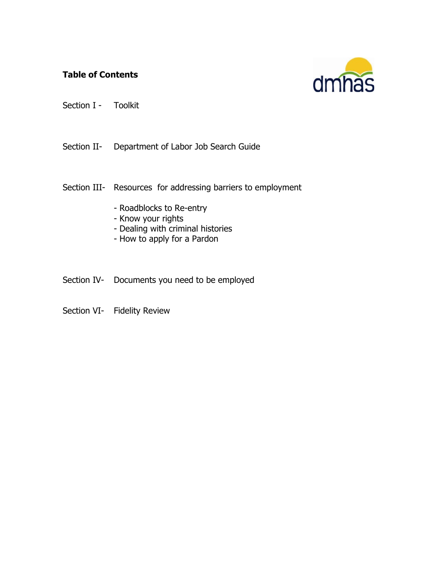## Table of Contents



Section I - Toolkit

Section II- Department of Labor Job Search Guide

- Section III- Resources for addressing barriers to employment
	- Roadblocks to Re-entry
	- Know your rights
	- Dealing with criminal histories
	- How to apply for a Pardon
- Section IV- Documents you need to be employed
- Section VI- Fidelity Review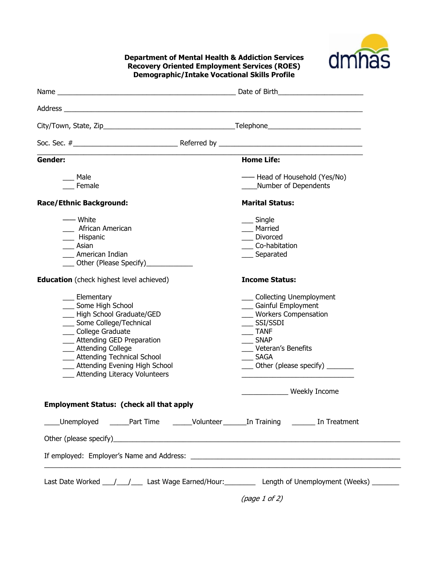

#### Department of Mental Health & Addiction Services Recovery Oriented Employment Services (ROES) Demographic/Intake Vocational Skills Profile

| Gender:                                                                                                                                                                                                                                                                                                  | <b>Home Life:</b>                                                                                                                                                                                            |
|----------------------------------------------------------------------------------------------------------------------------------------------------------------------------------------------------------------------------------------------------------------------------------------------------------|--------------------------------------------------------------------------------------------------------------------------------------------------------------------------------------------------------------|
| Male<br>Female                                                                                                                                                                                                                                                                                           | - Head of Household (Yes/No)<br>Number of Dependents                                                                                                                                                         |
| <b>Race/Ethnic Background:</b>                                                                                                                                                                                                                                                                           | <b>Marital Status:</b>                                                                                                                                                                                       |
| —— White<br>African American<br>__ Hispanic<br>Asian<br>American Indian<br>Other (Please Specify)                                                                                                                                                                                                        | ___ Single<br>Married<br>Divorced<br>Co-habitation<br>___ Separated                                                                                                                                          |
| <b>Education</b> (check highest level achieved)                                                                                                                                                                                                                                                          | <b>Income Status:</b>                                                                                                                                                                                        |
| __ Elementary<br>___ Some High School<br>-Righ School Graduate/GED<br>___ Some College/Technical<br>College Graduate<br>__ Attending GED Preparation<br>___ Attending College<br><b>Attending Technical School</b><br>__ Attending Evening High School<br><b>Example 2</b> Attending Literacy Volunteers | _ Collecting Unemployment<br><b>Gainful Employment</b><br><b>Workers Compensation</b><br>SSI/SSDI<br><b>TANF</b><br><b>SNAP</b><br>Veteran's Benefits<br><b>SAGA</b><br>Other (please specify) $\frac{1}{2}$ |
|                                                                                                                                                                                                                                                                                                          |                                                                                                                                                                                                              |
|                                                                                                                                                                                                                                                                                                          | Meekly Income                                                                                                                                                                                                |
| <b>Employment Status: (check all that apply</b>                                                                                                                                                                                                                                                          |                                                                                                                                                                                                              |
|                                                                                                                                                                                                                                                                                                          | Unemployed _____Part Time _____Volunteer ______In Training _______ In Treatment                                                                                                                              |
|                                                                                                                                                                                                                                                                                                          |                                                                                                                                                                                                              |
|                                                                                                                                                                                                                                                                                                          |                                                                                                                                                                                                              |
|                                                                                                                                                                                                                                                                                                          | Last Date Worked 11 11 Last Wage Earned/Hour: Length of Unemployment (Weeks)                                                                                                                                 |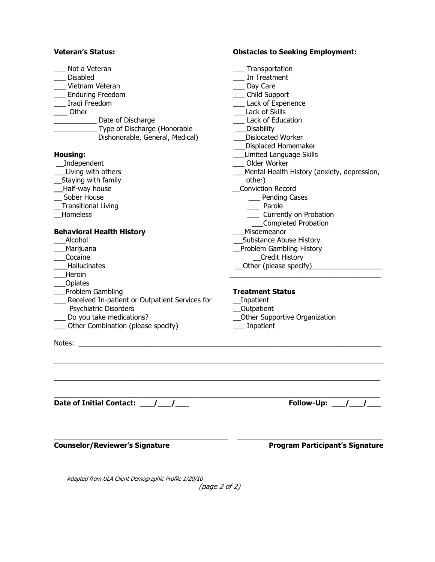#### Veteran's Status: Obstacles to Seeking Employment:

| Not a Veteran                                  | Transportation                              |
|------------------------------------------------|---------------------------------------------|
| Disabled                                       | In Treatment                                |
| Vietnam Veteran                                | __ Day Care                                 |
| ___ Enduring Freedom                           | __ Child Support                            |
|                                                | __ Lack of Experience                       |
| __ Iraqi Freedom                               | Lack of Skills                              |
| Other                                          |                                             |
| Date of Discharge                              | Lack of Education                           |
| Type of Discharge (Honorable                   | Disability                                  |
| Dishonorable, General, Medical)                | Dislocated Worker                           |
|                                                | Displaced Homemaker                         |
| <b>Housing:</b>                                | Limited Language Skills                     |
| _Independent                                   | Older Worker                                |
| Living with others                             | Mental Health History (anxiety, depression, |
| Staying with family                            | other)                                      |
| Half-way house                                 | Conviction Record                           |
| Sober House                                    | ___ Pending Cases                           |
| <b>Transitional Living</b>                     | __ Parole                                   |
| Homeless                                       | Currently on Probation                      |
|                                                | Completed Probation                         |
| <b>Behavioral Health History</b>               | Misdemeanor                                 |
| Alcohol                                        | Substance Abuse History                     |
| Marijuana                                      | Problem Gambling History                    |
| Cocaine                                        | <b>Credit History</b>                       |
| Hallucinates                                   | Other (please specify)                      |
| Heroin                                         |                                             |
| Opiates                                        |                                             |
| Problem Gambling                               | <b>Treatment Status</b>                     |
| Received In-patient or Outpatient Services for | _Inpatient                                  |
| Psychiatric Disorders                          | <b>Outpatient</b>                           |
| Do you take medications?                       | Other Supportive Organization               |
| Other Combination (please specify)             | Inpatient                                   |
|                                                |                                             |
| Notes:                                         |                                             |
|                                                |                                             |
|                                                |                                             |
|                                                |                                             |
|                                                |                                             |
|                                                |                                             |
| Date of Initial Contact: 11.12                 | Follow-Up: / /                              |
|                                                |                                             |
|                                                |                                             |
|                                                |                                             |

Counselor/Reviewer's Signature **Program Participant's Signature** 

Adapted from ULA Client Demographic Profile 1/20/10

(page 2 of 2)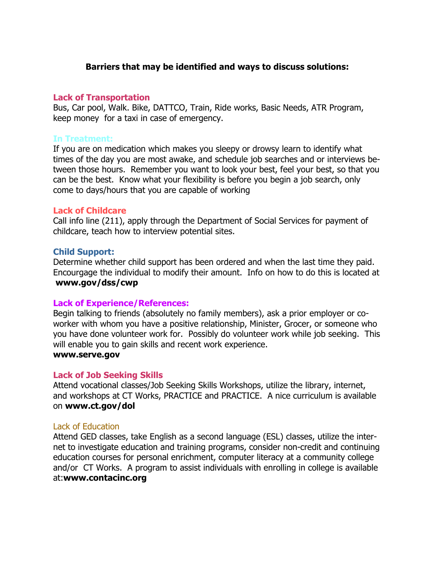#### Barriers that may be identified and ways to discuss solutions:

#### Lack of Transportation

Bus, Car pool, Walk. Bike, DATTCO, Train, Ride works, Basic Needs, ATR Program, keep money for a taxi in case of emergency.

#### In Treatment:

If you are on medication which makes you sleepy or drowsy learn to identify what times of the day you are most awake, and schedule job searches and or interviews between those hours. Remember you want to look your best, feel your best, so that you can be the best. Know what your flexibility is before you begin a job search, only come to days/hours that you are capable of working

#### Lack of Childcare

Call info line (211), apply through the Department of Social Services for payment of childcare, teach how to interview potential sites.

#### Child Support:

Determine whether child support has been ordered and when the last time they paid. Encourgage the individual to modify their amount. Info on how to do this is located at www.gov/dss/cwp

#### Lack of Experience/References:

Begin talking to friends (absolutely no family members), ask a prior employer or coworker with whom you have a positive relationship, Minister, Grocer, or someone who you have done volunteer work for. Possibly do volunteer work while job seeking. This will enable you to gain skills and recent work experience. www.serve.gov

#### Lack of Job Seeking Skills

Attend vocational classes/Job Seeking Skills Workshops, utilize the library, internet, and workshops at CT Works, PRACTICE and PRACTICE. A nice curriculum is available on www.ct.gov/dol

#### Lack of Education

Attend GED classes, take English as a second language (ESL) classes, utilize the internet to investigate education and training programs, consider non-credit and continuing education courses for personal enrichment, computer literacy at a community college and/or CT Works. A program to assist individuals with enrolling in college is available at:www.contacinc.org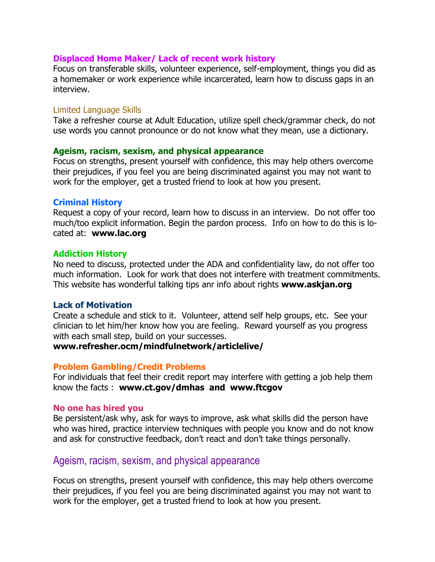#### Displaced Home Maker/ Lack of recent work history

Focus on transferable skills, volunteer experience, self-employment, things you did as a homemaker or work experience while incarcerated, learn how to discuss gaps in an interview.

#### Limited Language Skills

Take a refresher course at Adult Education, utilize spell check/grammar check, do not use words you cannot pronounce or do not know what they mean, use a dictionary.

#### Ageism, racism, sexism, and physical appearance

Focus on strengths, present yourself with confidence, this may help others overcome their prejudices, if you feel you are being discriminated against you may not want to work for the employer, get a trusted friend to look at how you present.

#### Criminal History

Request a copy of your record, learn how to discuss in an interview. Do not offer too much/too explicit information. Begin the pardon process. Info on how to do this is located at: www.lac.org

#### Addiction History

No need to discuss, protected under the ADA and confidentiality law, do not offer too much information. Look for work that does not interfere with treatment commitments. This website has wonderful talking tips anr info about rights www.askjan.org

#### Lack of Motivation

Create a schedule and stick to it. Volunteer, attend self help groups, etc. See your clinician to let him/her know how you are feeling. Reward yourself as you progress with each small step, build on your successes.

#### www.refresher.ocm/mindfulnetwork/articlelive/

#### Problem Gambling/Credit Problems

For individuals that feel their credit report may interfere with getting a job help them know the facts : www.ct.gov/dmhas and www.ftcgov

#### No one has hired you

Be persistent/ask why, ask for ways to improve, ask what skills did the person have who was hired, practice interview techniques with people you know and do not know and ask for constructive feedback, don't react and don't take things personally.

## Ageism, racism, sexism, and physical appearance

Focus on strengths, present yourself with confidence, this may help others overcome their prejudices, if you feel you are being discriminated against you may not want to work for the employer, get a trusted friend to look at how you present.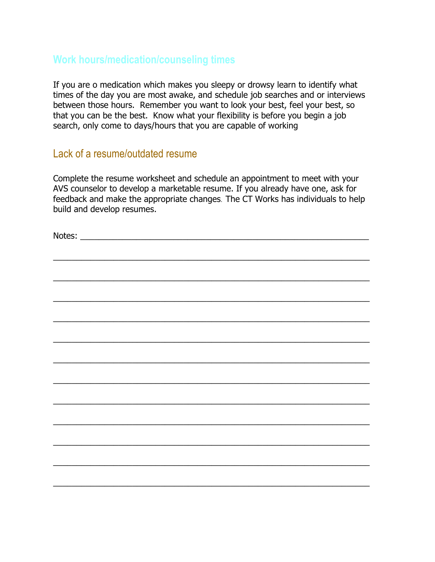## Work hours/medication/counseling times

If you are o medication which makes you sleepy or drowsy learn to identify what times of the day you are most awake, and schedule job searches and or interviews between those hours. Remember you want to look your best, feel your best, so that you can be the best. Know what your flexibility is before you begin a job search, only come to days/hours that you are capable of working

## Lack of a resume/outdated resume

Complete the resume worksheet and schedule an appointment to meet with your AVS counselor to develop a marketable resume. If you already have one, ask for feedback and make the appropriate changes. The CT Works has individuals to help build and develop resumes.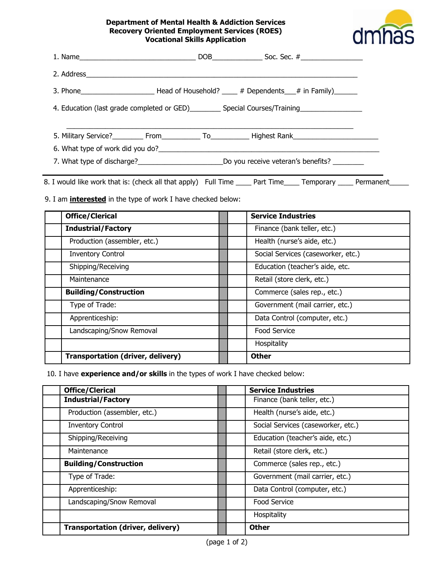#### Department of Mental Health & Addiction Services Recovery Oriented Employment Services (ROES) Vocational Skills Application



|  | 3. Phone ___________________________Head of Household? ______ # Dependents____# in Family)________   |  |
|--|------------------------------------------------------------------------------------------------------|--|
|  | 4. Education (last grade completed or GED)___________ Special Courses/Training______________________ |  |
|  |                                                                                                      |  |
|  |                                                                                                      |  |
|  |                                                                                                      |  |

8. I would like work that is: (check all that apply) Full Time \_\_\_\_ Part Time \_\_\_\_ Temporary \_\_\_\_ Permanent\_\_\_\_\_

9. I am **interested** in the type of work I have checked below:

| <b>Office/Clerical</b>                   | <b>Service Industries</b>          |
|------------------------------------------|------------------------------------|
| <b>Industrial/Factory</b>                | Finance (bank teller, etc.)        |
| Production (assembler, etc.)             | Health (nurse's aide, etc.)        |
| <b>Inventory Control</b>                 | Social Services (caseworker, etc.) |
| Shipping/Receiving                       | Education (teacher's aide, etc.    |
| Maintenance                              | Retail (store clerk, etc.)         |
| <b>Building/Construction</b>             | Commerce (sales rep., etc.)        |
| Type of Trade:                           | Government (mail carrier, etc.)    |
| Apprenticeship:                          | Data Control (computer, etc.)      |
| Landscaping/Snow Removal                 | <b>Food Service</b>                |
|                                          | Hospitality                        |
| <b>Transportation (driver, delivery)</b> | <b>Other</b>                       |

10. I have experience and/or skills in the types of work I have checked below:

| <b>Office/Clerical</b>                   | <b>Service Industries</b>          |
|------------------------------------------|------------------------------------|
| <b>Industrial/Factory</b>                | Finance (bank teller, etc.)        |
| Production (assembler, etc.)             | Health (nurse's aide, etc.)        |
| <b>Inventory Control</b>                 | Social Services (caseworker, etc.) |
| Shipping/Receiving                       | Education (teacher's aide, etc.)   |
| Maintenance                              | Retail (store clerk, etc.)         |
| <b>Building/Construction</b>             | Commerce (sales rep., etc.)        |
| Type of Trade:                           | Government (mail carrier, etc.)    |
| Apprenticeship:                          | Data Control (computer, etc.)      |
| Landscaping/Snow Removal                 | <b>Food Service</b>                |
|                                          | Hospitality                        |
| <b>Transportation (driver, delivery)</b> | <b>Other</b>                       |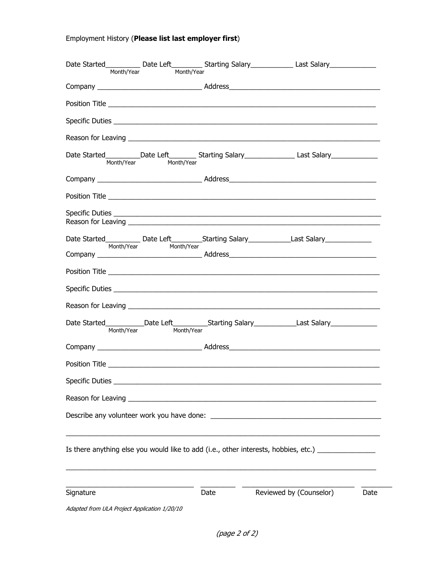## Employment History (Please list last employer first)

|                                              | Month/Year<br>Month/Year |                                                                                                                       | Date Started____________Date Left____________Starting Salary______________Last Salary_______________ |      |
|----------------------------------------------|--------------------------|-----------------------------------------------------------------------------------------------------------------------|------------------------------------------------------------------------------------------------------|------|
|                                              |                          |                                                                                                                       |                                                                                                      |      |
|                                              |                          |                                                                                                                       |                                                                                                      |      |
|                                              |                          |                                                                                                                       |                                                                                                      |      |
|                                              |                          |                                                                                                                       |                                                                                                      |      |
| Month/Year                                   | Month/Year               |                                                                                                                       | Date Started__________Date Left__________Starting Salary_______________Last Salary_________________  |      |
|                                              |                          |                                                                                                                       |                                                                                                      |      |
|                                              |                          |                                                                                                                       |                                                                                                      |      |
|                                              |                          |                                                                                                                       |                                                                                                      |      |
|                                              |                          |                                                                                                                       |                                                                                                      |      |
|                                              |                          |                                                                                                                       |                                                                                                      |      |
|                                              |                          |                                                                                                                       |                                                                                                      |      |
|                                              |                          |                                                                                                                       |                                                                                                      |      |
|                                              |                          |                                                                                                                       |                                                                                                      |      |
| Month/Year                                   | Month/Year               |                                                                                                                       | Date Started____________Date Left____________Starting Salary_____________Last Salary_______________  |      |
|                                              |                          |                                                                                                                       |                                                                                                      |      |
|                                              |                          |                                                                                                                       |                                                                                                      |      |
| Specific Duties                              |                          |                                                                                                                       |                                                                                                      |      |
| Reason for Leaving                           |                          | <u> 1989 - Johann Barn, mars and de Branch Barn, mars and de Branch Barn, mars and de Branch Barn, mars and de Br</u> |                                                                                                      |      |
|                                              |                          |                                                                                                                       |                                                                                                      |      |
|                                              |                          |                                                                                                                       | Is there anything else you would like to add (i.e., other interests, hobbies, etc.) _______________  |      |
| Signature                                    |                          | Date                                                                                                                  | Reviewed by (Counselor)                                                                              | Date |
| Adapted from ULA Project Application 1/20/10 |                          |                                                                                                                       |                                                                                                      |      |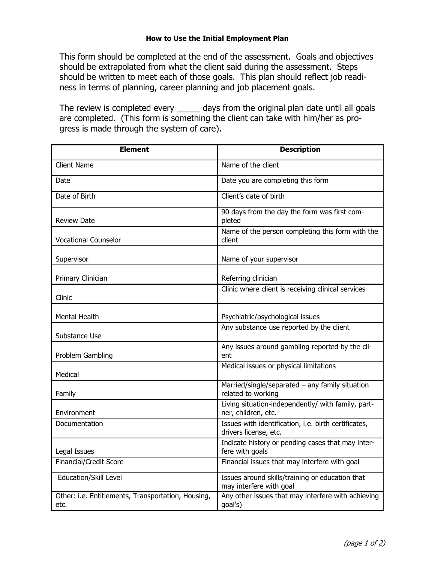#### How to Use the Initial Employment Plan

This form should be completed at the end of the assessment. Goals and objectives should be extrapolated from what the client said during the assessment. Steps should be written to meet each of those goals. This plan should reflect job readiness in terms of planning, career planning and job placement goals.

The review is completed every \_\_\_\_\_\_ days from the original plan date until all goals are completed. (This form is something the client can take with him/her as progress is made through the system of care).

| <b>Element</b>                                             | <b>Description</b>                                                            |
|------------------------------------------------------------|-------------------------------------------------------------------------------|
| <b>Client Name</b>                                         | Name of the client                                                            |
| Date                                                       | Date you are completing this form                                             |
| Date of Birth                                              | Client's date of birth                                                        |
| <b>Review Date</b>                                         | 90 days from the day the form was first com-<br>pleted                        |
| <b>Vocational Counselor</b>                                | Name of the person completing this form with the<br>client                    |
| Supervisor                                                 | Name of your supervisor                                                       |
| Primary Clinician                                          | Referring clinician                                                           |
| Clinic                                                     | Clinic where client is receiving clinical services                            |
| Mental Health                                              | Psychiatric/psychological issues                                              |
| Substance Use                                              | Any substance use reported by the client                                      |
| Problem Gambling                                           | Any issues around gambling reported by the cli-<br>ent                        |
| Medical                                                    | Medical issues or physical limitations                                        |
| Family                                                     | Married/single/separated - any family situation<br>related to working         |
| Environment                                                | Living situation-independently/ with family, part-<br>ner, children, etc.     |
| Documentation                                              | Issues with identification, i.e. birth certificates,<br>drivers license, etc. |
| Legal Issues                                               | Indicate history or pending cases that may inter-<br>fere with goals          |
| Financial/Credit Score                                     | Financial issues that may interfere with goal                                 |
| Education/Skill Level                                      | Issues around skills/training or education that<br>may interfere with goal    |
| Other: i.e. Entitlements, Transportation, Housing,<br>etc. | Any other issues that may interfere with achieving<br>goal's)                 |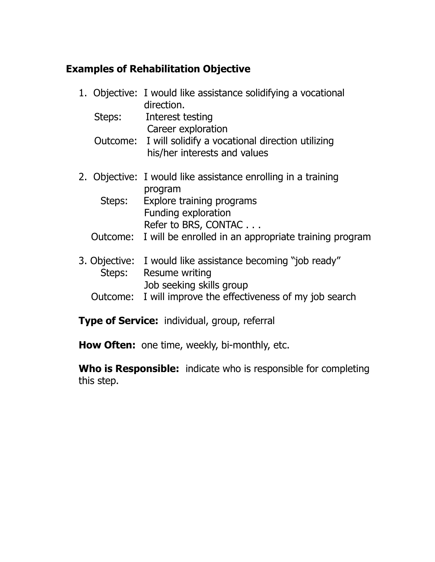## Examples of Rehabilitation Objective

- 1. Objective: I would like assistance solidifying a vocational direction. Steps: Interest testing Career exploration Outcome: I will solidify a vocational direction utilizing his/her interests and values 2. Objective: I would like assistance enrolling in a training program Steps: Explore training programs Funding exploration Refer to BRS, CONTAC . . . Outcome: I will be enrolled in an appropriate training program
- 3. Objective: I would like assistance becoming "job ready" Steps: Resume writing Job seeking skills group
	- Outcome: I will improve the effectiveness of my job search

**Type of Service:** individual, group, referral

How Often: one time, weekly, bi-monthly, etc.

Who is Responsible: indicate who is responsible for completing this step.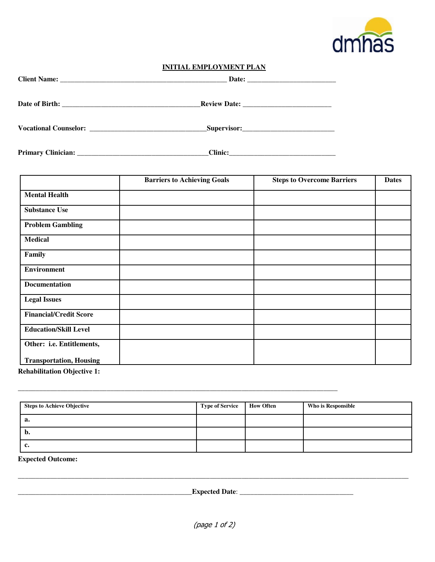

#### **INITIAL EMPLOYMENT PLAN**

|                                | <b>Barriers to Achieving Goals</b> | <b>Steps to Overcome Barriers</b> | <b>Dates</b> |
|--------------------------------|------------------------------------|-----------------------------------|--------------|
| <b>Mental Health</b>           |                                    |                                   |              |
| <b>Substance Use</b>           |                                    |                                   |              |
| <b>Problem Gambling</b>        |                                    |                                   |              |
| <b>Medical</b>                 |                                    |                                   |              |
| Family                         |                                    |                                   |              |
| <b>Environment</b>             |                                    |                                   |              |
| <b>Documentation</b>           |                                    |                                   |              |
| <b>Legal Issues</b>            |                                    |                                   |              |
| <b>Financial/Credit Score</b>  |                                    |                                   |              |
| <b>Education/Skill Level</b>   |                                    |                                   |              |
| Other: i.e. Entitlements,      |                                    |                                   |              |
| <b>Transportation, Housing</b> |                                    |                                   |              |

**Rehabilitation Objective 1:** 

| <b>Steps to Achieve Objective</b> | <b>Type of Service</b> | <b>How Often</b> | Who is Responsible |
|-----------------------------------|------------------------|------------------|--------------------|
| а.                                |                        |                  |                    |
| v.                                |                        |                  |                    |
| ◟                                 |                        |                  |                    |

**\_\_\_\_\_\_\_\_\_\_\_\_\_\_\_\_\_\_\_\_\_\_\_\_\_\_\_\_\_\_\_\_\_\_\_\_\_\_\_\_\_\_\_\_\_\_\_\_\_\_\_\_\_\_\_\_\_\_\_\_\_\_\_\_\_\_\_\_\_\_\_\_\_\_\_\_\_\_\_\_\_\_\_\_\_\_\_\_\_\_**

**Expected Outcome:** 

\_\_\_\_\_\_\_\_\_\_\_\_\_\_\_\_\_\_\_\_\_\_\_\_\_\_\_\_\_\_\_\_\_\_\_\_\_\_\_\_\_\_\_\_\_\_\_\_\_**Expected Date**: \_\_\_\_\_\_\_\_\_\_\_\_\_\_\_\_\_\_\_\_\_\_\_\_\_\_\_\_\_\_\_\_